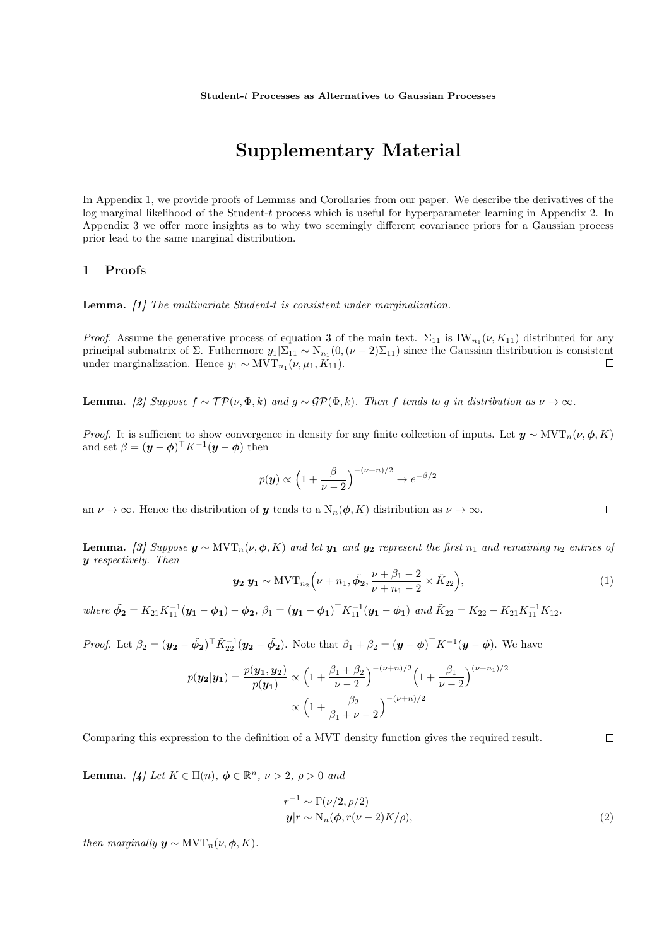# Supplementary Material

In Appendix 1, we provide proofs of Lemmas and Corollaries from our paper. We describe the derivatives of the log marginal likelihood of the Student-t process which is useful for hyperparameter learning in Appendix 2. In Appendix 3 we offer more insights as to why two seemingly different covariance priors for a Gaussian process prior lead to the same marginal distribution.

## 1 Proofs

Lemma. [1] The multivariate Student-t is consistent under marginalization.

*Proof.* Assume the generative process of equation 3 of the main text.  $\Sigma_{11}$  is  $IW_{n_1}(\nu, K_{11})$  distributed for any principal submatrix of  $\Sigma$ . Futhermore  $y_1|\Sigma_{11} \sim N_{n_1}(0, (\nu-2)\Sigma_{11})$  since the Gaussian distribution is consistent under marginalization. Hence  $y_1 \sim \text{MVT}_{n_1}(\nu, \mu_1, K_{11}).$  $\Box$ 

**Lemma.** [2] Suppose  $f \sim \mathcal{TP}(\nu, \Phi, k)$  and  $g \sim \mathcal{GP}(\Phi, k)$ . Then f tends to g in distribution as  $\nu \to \infty$ .

*Proof.* It is sufficient to show convergence in density for any finite collection of inputs. Let  $y \sim \text{MVT}_n(\nu, \phi, K)$ and set  $\beta = (\mathbf{y} - \boldsymbol{\phi})^{\top} K^{-1} (\mathbf{y} - \boldsymbol{\phi})$  then

$$
p(\mathbf{y}) \propto \left(1 + \frac{\beta}{\nu - 2}\right)^{-(\nu + n)/2} \to e^{-\beta/2}
$$

an  $\nu \to \infty$ . Hence the distribution of y tends to a  $N_n(\phi, K)$  distribution as  $\nu \to \infty$ .

**Lemma.** [3] Suppose  $y \sim \text{MVT}_n(\nu, \phi, K)$  and let  $y_1$  and  $y_2$  represent the first  $n_1$  and remaining  $n_2$  entries of y respectively. Then

$$
\mathbf{y_2}|\mathbf{y_1} \sim \text{MVT}_{n_2}\left(\nu + n_1, \tilde{\phi_2}, \frac{\nu + \beta_1 - 2}{\nu + n_1 - 2} \times \tilde{K}_{22}\right),\tag{1}
$$

where  $\tilde{\phi}_2 = K_{21} K_{11}^{-1} (\mathbf{y}_1 - \phi_1) - \phi_2$ ,  $\beta_1 = (\mathbf{y}_1 - \phi_1)^{\top} K_{11}^{-1} (\mathbf{y}_1 - \phi_1)$  and  $\tilde{K}_{22} = K_{22} - K_{21} K_{11}^{-1} K_{12}$ .

*Proof.* Let 
$$
\beta_2 = (\mathbf{y_2} - \tilde{\phi_2})^{\top} \tilde{K}_{22}^{-1} (\mathbf{y_2} - \tilde{\phi_2})
$$
. Note that  $\beta_1 + \beta_2 = (\mathbf{y} - \phi)^{\top} K^{-1} (\mathbf{y} - \phi)$ . We have

$$
p(\mathbf{y_2}|\mathbf{y_1}) = \frac{p(\mathbf{y_1}, \mathbf{y_2})}{p(\mathbf{y_1})} \propto \left(1 + \frac{\beta_1 + \beta_2}{\nu - 2}\right)^{-(\nu + n)/2} \left(1 + \frac{\beta_1}{\nu - 2}\right)^{(\nu + n)/2}
$$

$$
\propto \left(1 + \frac{\beta_2}{\beta_1 + \nu - 2}\right)^{-(\nu + n)/2}
$$

Comparing this expression to the definition of a MVT density function gives the required result.

**Lemma.** [4] Let  $K \in \Pi(n)$ ,  $\phi \in \mathbb{R}^n$ ,  $\nu > 2$ ,  $\rho > 0$  and

$$
r^{-1} \sim \Gamma(\nu/2, \rho/2)
$$
  

$$
\mathbf{y}|r \sim N_n(\phi, r(\nu-2)K/\rho),
$$
 (2)

then marginally  $y \sim \text{MVT}_n(\nu, \phi, K)$ .

 $\Box$ 

 $\Box$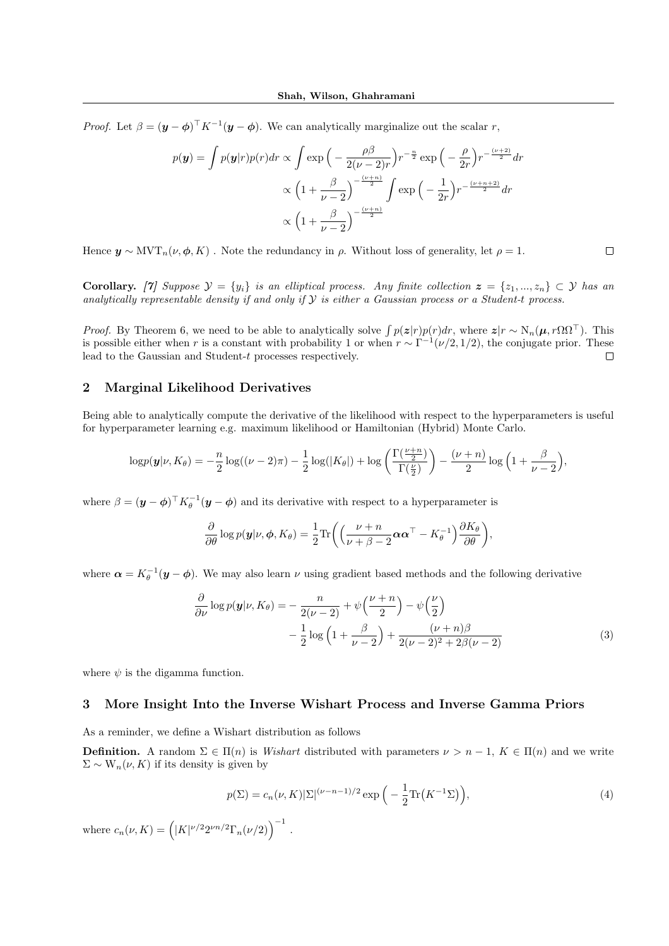*Proof.* Let  $\beta = (\mathbf{y} - \phi)^{\top} K^{-1} (\mathbf{y} - \phi)$ . We can analytically marginalize out the scalar r,

$$
p(\mathbf{y}) = \int p(\mathbf{y}|r)p(r)dr \propto \int \exp\left(-\frac{\rho\beta}{2(\nu-2)r}\right)r^{-\frac{n}{2}}\exp\left(-\frac{\rho}{2r}\right)r^{-\frac{(\nu+2)}{2}}dr
$$

$$
\propto \left(1 + \frac{\beta}{\nu-2}\right)^{-\frac{(\nu+n)}{2}} \int \exp\left(-\frac{1}{2r}\right)r^{-\frac{(\nu+n+2)}{2}}dr
$$

$$
\propto \left(1 + \frac{\beta}{\nu-2}\right)^{-\frac{(\nu+n)}{2}}
$$

Hence  $y \sim \text{MVT}_n(\nu, \phi, K)$ . Note the redundancy in  $\rho$ . Without loss of generality, let  $\rho = 1$ .

Corollary. [7] Suppose  $\mathcal{Y} = \{y_i\}$  is an elliptical process. Any finite collection  $\mathbf{z} = \{z_1, ..., z_n\} \subset \mathcal{Y}$  has an analytically representable density if and only if  $Y$  is either a Gaussian process or a Student-t process.

 $\Box$ 

*Proof.* By Theorem 6, we need to be able to analytically solve  $\int p(z|r)p(r)dr$ , where  $z|r \sim N_n(\mu, r\Omega\Omega^{\top})$ . This is possible either when r is a constant with probability 1 or when  $r \sim \Gamma^{-1}(\nu/2, 1/2)$ , the conjugate prior. These lead to the Gaussian and Student-t processes respectively.  $\Box$ 

## 2 Marginal Likelihood Derivatives

Being able to analytically compute the derivative of the likelihood with respect to the hyperparameters is useful for hyperparameter learning e.g. maximum likelihood or Hamiltonian (Hybrid) Monte Carlo.

$$
\log p(\mathbf{y}|\nu, K_{\theta}) = -\frac{n}{2}\log((\nu-2)\pi) - \frac{1}{2}\log(|K_{\theta}|) + \log\left(\frac{\Gamma(\frac{\nu+n}{2})}{\Gamma(\frac{\nu}{2})}\right) - \frac{(\nu+n)}{2}\log\left(1+\frac{\beta}{\nu-2}\right),
$$

where  $\beta = (\mathbf{y} - \boldsymbol{\phi})^\top K_{\theta}^{-1}(\mathbf{y} - \boldsymbol{\phi})$  and its derivative with respect to a hyperparameter is

$$
\frac{\partial}{\partial \theta} \log p(\mathbf{y}|\nu, \phi, K_{\theta}) = \frac{1}{2} \text{Tr}\bigg( \bigg( \frac{\nu + n}{\nu + \beta - 2} \boldsymbol{\alpha} \boldsymbol{\alpha}^{\top} - K_{\theta}^{-1} \bigg) \frac{\partial K_{\theta}}{\partial \theta} \bigg),
$$

where  $\boldsymbol{\alpha} = K_{\theta}^{-1}(\boldsymbol{y}-\boldsymbol{\phi})$ . We may also learn  $\nu$  using gradient based methods and the following derivative

$$
\frac{\partial}{\partial \nu} \log p(\mathbf{y}|\nu, K_{\theta}) = -\frac{n}{2(\nu - 2)} + \psi\left(\frac{\nu + n}{2}\right) - \psi\left(\frac{\nu}{2}\right)
$$

$$
-\frac{1}{2} \log\left(1 + \frac{\beta}{\nu - 2}\right) + \frac{(\nu + n)\beta}{2(\nu - 2)^2 + 2\beta(\nu - 2)}\tag{3}
$$

where  $\psi$  is the digamma function.

#### 3 More Insight Into the Inverse Wishart Process and Inverse Gamma Priors

As a reminder, we define a Wishart distribution as follows

**Definition.** A random  $\Sigma \in \Pi(n)$  is Wishart distributed with parameters  $\nu > n-1$ ,  $K \in \Pi(n)$  and we write  $\Sigma \sim W_n(\nu, K)$  if its density is given by

$$
p(\Sigma) = c_n(\nu, K) |\Sigma|^{(\nu - n - 1)/2} \exp\left(-\frac{1}{2} \text{Tr}\left(K^{-1} \Sigma\right)\right),\tag{4}
$$

where  $c_n(\nu, K) = (|K|^{\nu/2} 2^{\nu n/2} \Gamma_n(\nu/2))$ <sup>-1</sup>.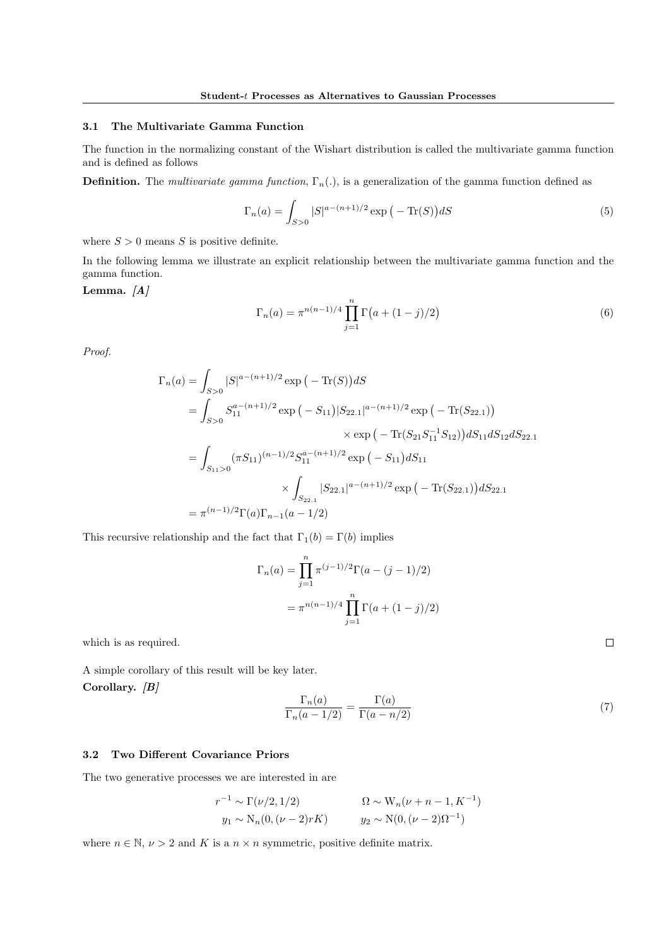#### 3.1 The Multivariate Gamma Function

The function in the normalizing constant of the Wishart distribution is called the multivariate gamma function and is defined as follows

**Definition.** The *multivariate gamma function*,  $\Gamma_n(.)$ , is a generalization of the gamma function defined as

$$
\Gamma_n(a) = \int_{S>0} |S|^{a - (n+1)/2} \exp(-\operatorname{Tr}(S)) dS
$$
 (5)

where  $S > 0$  means S is positive definite.

In the following lemma we illustrate an explicit relationship between the multivariate gamma function and the gamma function.

## Lemma.  $[A]$

$$
\Gamma_n(a) = \pi^{n(n-1)/4} \prod_{j=1}^n \Gamma(a + (1-j)/2)
$$
\n(6)

Proof.

$$
\Gamma_n(a) = \int_{S>0} |S|^{a-(n+1)/2} \exp(-\operatorname{Tr}(S))dS
$$
  
\n
$$
= \int_{S>0} S_{11}^{a-(n+1)/2} \exp(-S_{11})|S_{22.1}|^{a-(n+1)/2} \exp(-\operatorname{Tr}(S_{22.1}))
$$
  
\n
$$
\times \exp(-\operatorname{Tr}(S_{21}S_{11}^{-1}S_{12}))dS_{11}dS_{12}dS_{22.1}
$$
  
\n
$$
= \int_{S_{11}>0} (\pi S_{11})^{(n-1)/2} S_{11}^{a-(n+1)/2} \exp(-S_{11})dS_{11}
$$
  
\n
$$
\times \int_{S_{22.1}} |S_{22.1}|^{a-(n+1)/2} \exp(-\operatorname{Tr}(S_{22.1}))dS_{22.1}
$$
  
\n
$$
= \pi^{(n-1)/2} \Gamma(a) \Gamma_{n-1}(a-1/2)
$$

This recursive relationship and the fact that  $\Gamma_1(b)=\Gamma(b)$  implies

$$
\Gamma_n(a) = \prod_{j=1}^n \pi^{(j-1)/2} \Gamma(a - (j-1)/2)
$$

$$
= \pi^{n(n-1)/4} \prod_{j=1}^n \Gamma(a + (1-j)/2)
$$

which is as required.

A simple corollary of this result will be key later. Corollary.  $|B|$ 

$$
\frac{\Gamma_n(a)}{\Gamma_n(a-1/2)} = \frac{\Gamma(a)}{\Gamma(a-n/2)}
$$
\n(7)

### 3.2 Two Different Covariance Priors

The two generative processes we are interested in are

$$
r^{-1} \sim \Gamma(\nu/2, 1/2) \qquad \qquad \Omega \sim W_n(\nu + n - 1, K^{-1})
$$
  
\n
$$
y_1 \sim N_n(0, (\nu - 2)rK) \qquad y_2 \sim N(0, (\nu - 2)\Omega^{-1})
$$

where  $n \in \mathbb{N}, \nu > 2$  and K is a  $n \times n$  symmetric, positive definite matrix.

 $\Box$